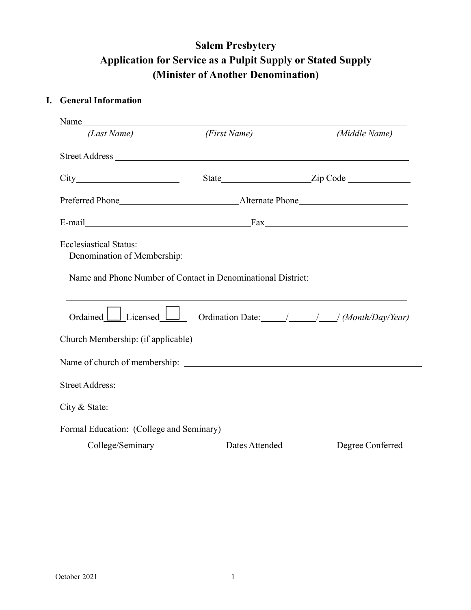## **Salem Presbytery**  Application for Service as a Pulpit Supply or Stated Supply (Minister of Another Denomination)

## **I. General Information**

| (Last Name)                                                                                                        | (First Name)   | (Middle Name)                                                                                                         |
|--------------------------------------------------------------------------------------------------------------------|----------------|-----------------------------------------------------------------------------------------------------------------------|
|                                                                                                                    |                |                                                                                                                       |
|                                                                                                                    |                |                                                                                                                       |
|                                                                                                                    |                |                                                                                                                       |
|                                                                                                                    |                |                                                                                                                       |
| <b>Ecclesiastical Status:</b><br>Name and Phone Number of Contact in Denominational District: ____________________ |                | <u> 1989 - Johann Stein, marwolaethau a bhann an t-Amhain ann an t-Amhain an t-Amhain an t-Amhain an t-Amhain an </u> |
| Ordained <u>Licensed</u> <u>Licensed</u> Ordination Date: ////// <i>(Month/Day/Year)</i>                           |                |                                                                                                                       |
| Church Membership: (if applicable)                                                                                 |                |                                                                                                                       |
|                                                                                                                    |                |                                                                                                                       |
|                                                                                                                    |                |                                                                                                                       |
| City & State:                                                                                                      |                |                                                                                                                       |
| Formal Education: (College and Seminary)                                                                           |                |                                                                                                                       |
| College/Seminary                                                                                                   | Dates Attended | Degree Conferred                                                                                                      |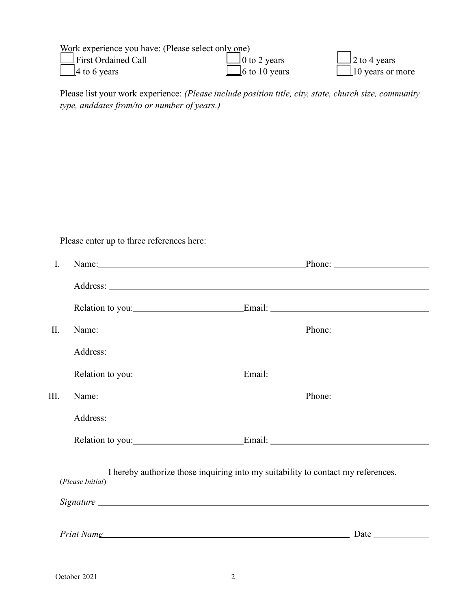| Work experience you have: (Please select only one) |                      |                         |
|----------------------------------------------------|----------------------|-------------------------|
| $\Box$ First Ordained Call                         | $\Box$ 0 to 2 years  | $\Box$ 2 to 4 years     |
| $\Box$ 4 to 6 years                                | $\Box$ 6 to 10 years | $\Box$ 10 years or more |

Please list your work experience: *(Please include position title, city, state, church size, community type, anddates from/to or number of years.)*

Please enter up to three references here:

| $\mathbf{I}$ . | Name: Phone: Phone: Phone: Phone: Phone: Phone: Phone: Phone: Phone: Phone: Phone: Phone: Phone: Phone: Phone: Phone: Phone: Phone: Phone: Phone: Phone: Phone: Phone: Phone: Phone: Phone: Phone: Phone: Phone: Phone: Phone: |  |
|----------------|--------------------------------------------------------------------------------------------------------------------------------------------------------------------------------------------------------------------------------|--|
|                |                                                                                                                                                                                                                                |  |
|                |                                                                                                                                                                                                                                |  |
| $\prod$ .      | Name: Phone: Phone: Phone: Phone: Phone: Phone: Phone: Phone: Phone: Phone: Phone: Phone: Phone: Phone: Phone: Phone: Phone: Phone: Phone: Phone: Phone: Phone: Phone: Phone: Phone: Phone: Phone: Phone: Phone: Phone: Phone: |  |
|                |                                                                                                                                                                                                                                |  |
|                |                                                                                                                                                                                                                                |  |
| III.           | Name: Phone: Phone: Phone: Phone: Phone: Phone: Phone: Phone: Phone: Phone: Phone: Phone: Phone: Phone: Phone: Phone: Phone: Phone: Phone: Phone: Phone: Phone: Phone: Phone: Phone: Phone: Phone: Phone: Phone: Phone: Phone: |  |
|                |                                                                                                                                                                                                                                |  |
|                |                                                                                                                                                                                                                                |  |
|                | I hereby authorize those inquiring into my suitability to contact my references.<br>(Please Initial)                                                                                                                           |  |
|                | Print Name experience of the service of the service of the service of the service of the service of the service of the service of the service of the service of the service of the service of the service of the service of th |  |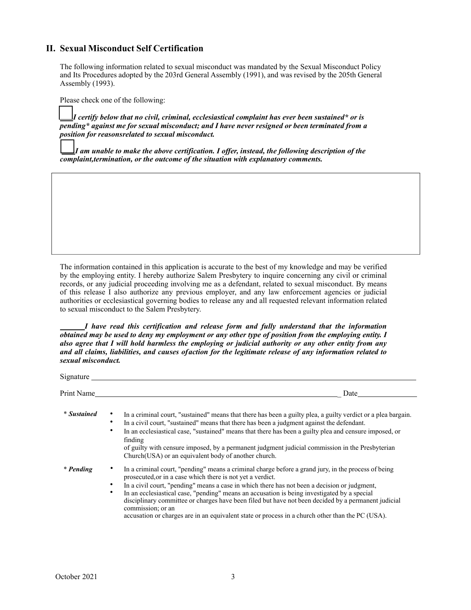## **II. Sexual Misconduct Self Certification**

The following information related to sexual misconduct was mandated by the Sexual Misconduct Policy and Its Procedures adopted by the 203rd General Assembly (1991), and was revised by the 205th General Assembly (1993).

Please check one of the following:

*I certify below that no civil, criminal, ecclesiastical complaint has ever been sustained\* or is pending\* against me for sexual misconduct; and I have never resigned or been terminated from a position for reasonsrelated to sexual misconduct.*

*I am unable to make the above certification. I offer, instead, the following description of the complaint,termination, or the outcome of the situation with explanatory comments.*

The information contained in this application is accurate to the best of my knowledge and may be verified by the employing entity. I hereby authorize Salem Presbytery to inquire concerning any civil or criminal records, or any judicial proceeding involving me as a defendant, related to sexual misconduct. By means of this release I also authorize any previous employer, and any law enforcement agencies or judicial authorities or ecclesiastical governing bodies to release any and all requested relevant information related to sexual misconduct to the Salem Presbytery.

*I have read this certification and release form and fully understand that the information obtained may be used to deny my employment or any other type of position from the employing entity. I also agree that I will hold harmless the employing or judicial authority or any other entity from any and all claims, liabilities, and causes ofaction for the legitimate release of any information related to sexual misconduct.*

| $Signature$ <sub>____</sub> |                                                                                                                                                                                                                                                                                                                                                                                                                                                                                                                                                                                                       |  |  |  |  |
|-----------------------------|-------------------------------------------------------------------------------------------------------------------------------------------------------------------------------------------------------------------------------------------------------------------------------------------------------------------------------------------------------------------------------------------------------------------------------------------------------------------------------------------------------------------------------------------------------------------------------------------------------|--|--|--|--|
| Print Name                  | Date                                                                                                                                                                                                                                                                                                                                                                                                                                                                                                                                                                                                  |  |  |  |  |
| * Sustained                 | In a criminal court, "sustained" means that there has been a guilty plea, a guilty verdict or a plea bargain.<br>In a civil court, "sustained" means that there has been a judgment against the defendant.<br>٠<br>In an ecclesiastical case, "sustained" means that there has been a guilty plea and censure imposed, or<br>٠<br>finding<br>of guilty with censure imposed, by a permanent judgment judicial commission in the Presbyterian<br>Church (USA) or an equivalent body of another church.                                                                                                 |  |  |  |  |
| * Pending                   | In a criminal court, "pending" means a criminal charge before a grand jury, in the process of being<br>prosecuted, or in a case which there is not yet a verdict.<br>In a civil court, "pending" means a case in which there has not been a decision or judgment,<br>In an ecclesiastical case, "pending" means an accusation is being investigated by a special<br>٠<br>disciplinary committee or charges have been filed but have not been decided by a permanent judicial<br>commission; or an<br>accusation or charges are in an equivalent state or process in a church other than the PC (USA). |  |  |  |  |